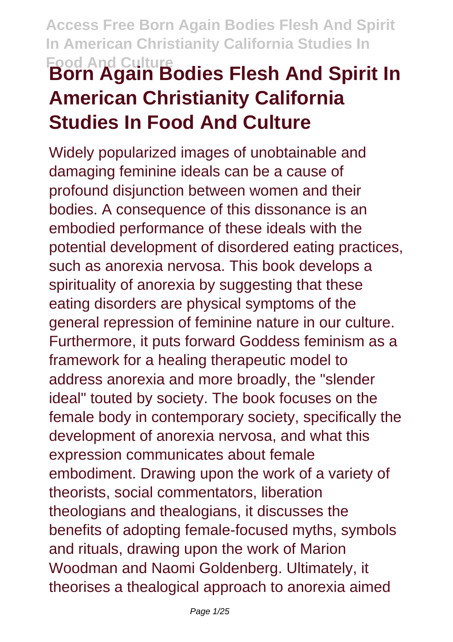# **Food And Culture Born Again Bodies Flesh And Spirit In American Christianity California Studies In Food And Culture**

Widely popularized images of unobtainable and damaging feminine ideals can be a cause of profound disjunction between women and their bodies. A consequence of this dissonance is an embodied performance of these ideals with the potential development of disordered eating practices, such as anorexia nervosa. This book develops a spirituality of anorexia by suggesting that these eating disorders are physical symptoms of the general repression of feminine nature in our culture. Furthermore, it puts forward Goddess feminism as a framework for a healing therapeutic model to address anorexia and more broadly, the "slender ideal" touted by society. The book focuses on the female body in contemporary society, specifically the development of anorexia nervosa, and what this expression communicates about female embodiment. Drawing upon the work of a variety of theorists, social commentators, liberation theologians and thealogians, it discusses the benefits of adopting female-focused myths, symbols and rituals, drawing upon the work of Marion Woodman and Naomi Goldenberg. Ultimately, it theorises a thealogical approach to anorexia aimed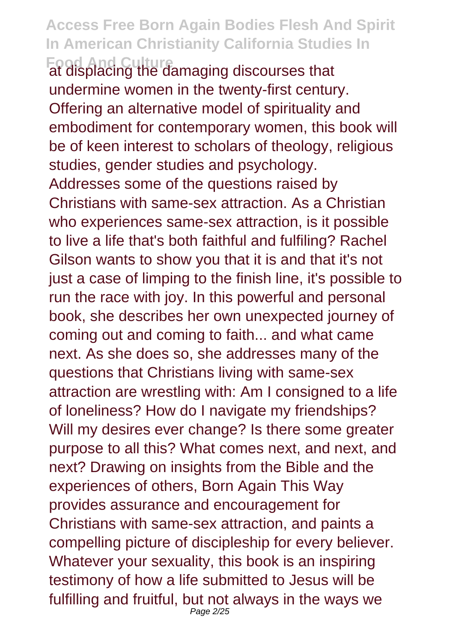**Food And Culture** at displacing the damaging discourses that undermine women in the twenty-first century. Offering an alternative model of spirituality and embodiment for contemporary women, this book will be of keen interest to scholars of theology, religious studies, gender studies and psychology. Addresses some of the questions raised by Christians with same-sex attraction. As a Christian who experiences same-sex attraction, is it possible to live a life that's both faithful and fulfiling? Rachel Gilson wants to show you that it is and that it's not just a case of limping to the finish line, it's possible to run the race with joy. In this powerful and personal book, she describes her own unexpected journey of coming out and coming to faith... and what came next. As she does so, she addresses many of the questions that Christians living with same-sex attraction are wrestling with: Am I consigned to a life of loneliness? How do I navigate my friendships? Will my desires ever change? Is there some greater purpose to all this? What comes next, and next, and next? Drawing on insights from the Bible and the experiences of others, Born Again This Way provides assurance and encouragement for Christians with same-sex attraction, and paints a compelling picture of discipleship for every believer. Whatever your sexuality, this book is an inspiring testimony of how a life submitted to Jesus will be fulfilling and fruitful, but not always in the ways we Page 2/25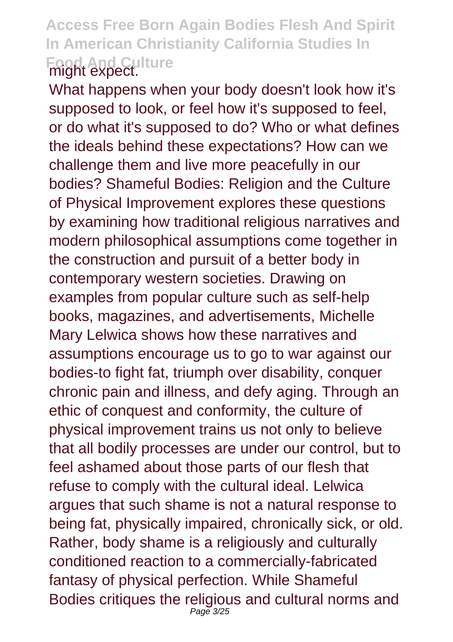#### **Access Free Born Again Bodies Flesh And Spirit In American Christianity California Studies In Food And Culture** might expect.

What happens when your body doesn't look how it's supposed to look, or feel how it's supposed to feel, or do what it's supposed to do? Who or what defines the ideals behind these expectations? How can we challenge them and live more peacefully in our bodies? Shameful Bodies: Religion and the Culture of Physical Improvement explores these questions by examining how traditional religious narratives and modern philosophical assumptions come together in the construction and pursuit of a better body in contemporary western societies. Drawing on examples from popular culture such as self-help books, magazines, and advertisements, Michelle Mary Lelwica shows how these narratives and assumptions encourage us to go to war against our bodies-to fight fat, triumph over disability, conquer chronic pain and illness, and defy aging. Through an ethic of conquest and conformity, the culture of physical improvement trains us not only to believe that all bodily processes are under our control, but to feel ashamed about those parts of our flesh that refuse to comply with the cultural ideal. Lelwica argues that such shame is not a natural response to being fat, physically impaired, chronically sick, or old. Rather, body shame is a religiously and culturally conditioned reaction to a commercially-fabricated fantasy of physical perfection. While Shameful Bodies critiques the religious and cultural norms and Page 3/25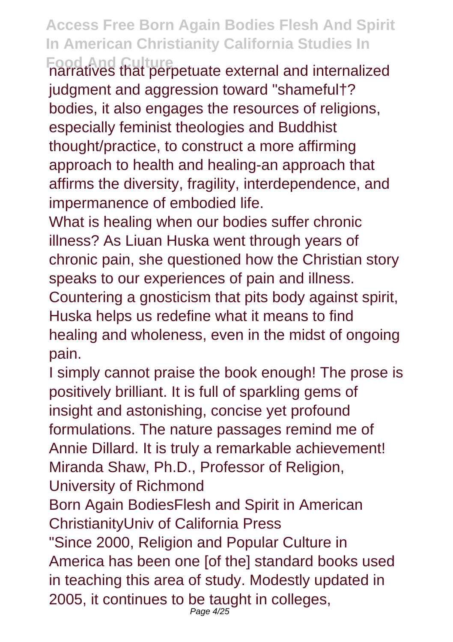**Food And Culture** narratives that perpetuate external and internalized judgment and aggression toward "shameful†? bodies, it also engages the resources of religions, especially feminist theologies and Buddhist thought/practice, to construct a more affirming approach to health and healing-an approach that affirms the diversity, fragility, interdependence, and impermanence of embodied life.

What is healing when our bodies suffer chronic illness? As Liuan Huska went through years of chronic pain, she questioned how the Christian story speaks to our experiences of pain and illness.

Countering a gnosticism that pits body against spirit, Huska helps us redefine what it means to find healing and wholeness, even in the midst of ongoing pain.

I simply cannot praise the book enough! The prose is positively brilliant. It is full of sparkling gems of insight and astonishing, concise yet profound formulations. The nature passages remind me of Annie Dillard. It is truly a remarkable achievement! Miranda Shaw, Ph.D., Professor of Religion, University of Richmond Born Again BodiesFlesh and Spirit in American ChristianityUniv of California Press "Since 2000, Religion and Popular Culture in America has been one [of the] standard books used in teaching this area of study. Modestly updated in 2005, it continues to be taught in colleges, Page 4/25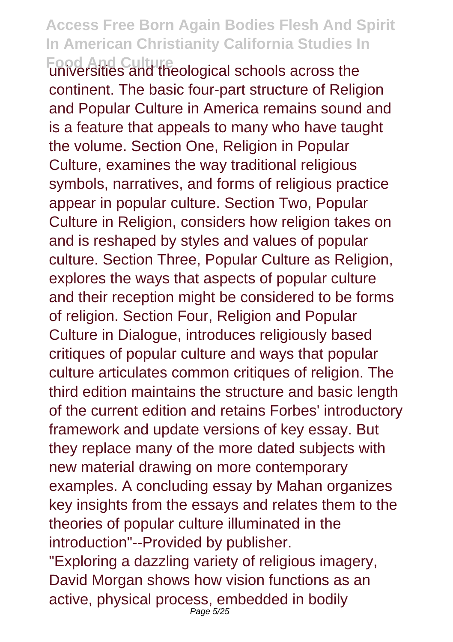### **Access Free Born Again Bodies Flesh And Spirit In American Christianity California Studies In Food And Culture** universities and theological schools across the

continent. The basic four-part structure of Religion and Popular Culture in America remains sound and is a feature that appeals to many who have taught the volume. Section One, Religion in Popular Culture, examines the way traditional religious symbols, narratives, and forms of religious practice appear in popular culture. Section Two, Popular Culture in Religion, considers how religion takes on and is reshaped by styles and values of popular culture. Section Three, Popular Culture as Religion, explores the ways that aspects of popular culture and their reception might be considered to be forms of religion. Section Four, Religion and Popular Culture in Dialogue, introduces religiously based critiques of popular culture and ways that popular culture articulates common critiques of religion. The third edition maintains the structure and basic length of the current edition and retains Forbes' introductory framework and update versions of key essay. But they replace many of the more dated subjects with new material drawing on more contemporary examples. A concluding essay by Mahan organizes key insights from the essays and relates them to the theories of popular culture illuminated in the introduction"--Provided by publisher. "Exploring a dazzling variety of religious imagery, David Morgan shows how vision functions as an active, physical process, embedded in bodily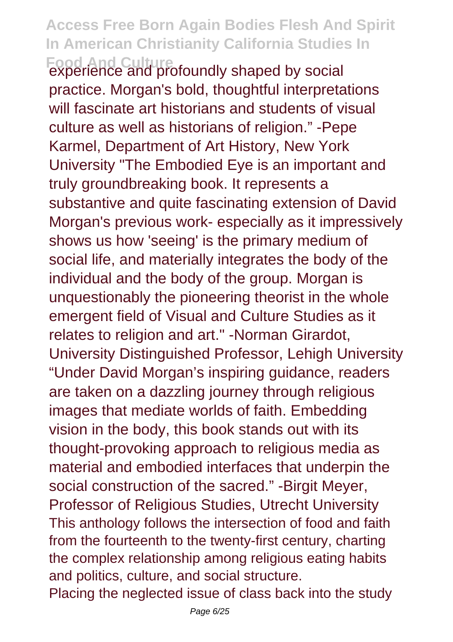### **Access Free Born Again Bodies Flesh And Spirit In American Christianity California Studies In Food And Culture** experience and profoundly shaped by social

practice. Morgan's bold, thoughtful interpretations will fascinate art historians and students of visual culture as well as historians of religion." -Pepe Karmel, Department of Art History, New York University "The Embodied Eye is an important and truly groundbreaking book. It represents a substantive and quite fascinating extension of David Morgan's previous work- especially as it impressively shows us how 'seeing' is the primary medium of social life, and materially integrates the body of the individual and the body of the group. Morgan is unquestionably the pioneering theorist in the whole emergent field of Visual and Culture Studies as it relates to religion and art." -Norman Girardot, University Distinguished Professor, Lehigh University "Under David Morgan's inspiring guidance, readers are taken on a dazzling journey through religious images that mediate worlds of faith. Embedding vision in the body, this book stands out with its thought-provoking approach to religious media as material and embodied interfaces that underpin the social construction of the sacred." -Birgit Meyer, Professor of Religious Studies, Utrecht University This anthology follows the intersection of food and faith from the fourteenth to the twenty-first century, charting the complex relationship among religious eating habits and politics, culture, and social structure. Placing the neglected issue of class back into the study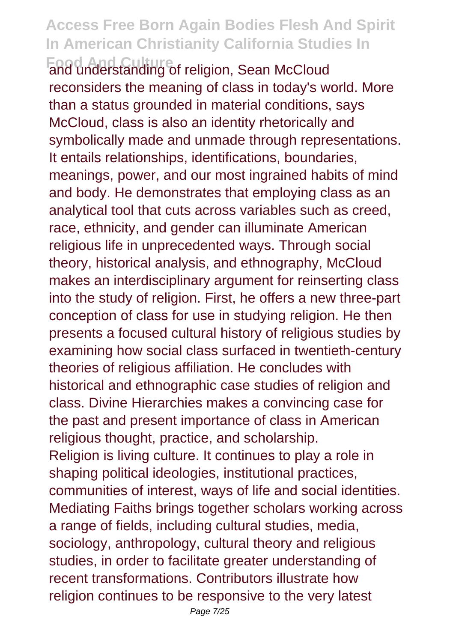**Ford understanding of religion, Sean McCloud** reconsiders the meaning of class in today's world. More than a status grounded in material conditions, says McCloud, class is also an identity rhetorically and symbolically made and unmade through representations. It entails relationships, identifications, boundaries, meanings, power, and our most ingrained habits of mind and body. He demonstrates that employing class as an analytical tool that cuts across variables such as creed, race, ethnicity, and gender can illuminate American religious life in unprecedented ways. Through social theory, historical analysis, and ethnography, McCloud makes an interdisciplinary argument for reinserting class into the study of religion. First, he offers a new three-part conception of class for use in studying religion. He then presents a focused cultural history of religious studies by examining how social class surfaced in twentieth-century theories of religious affiliation. He concludes with historical and ethnographic case studies of religion and class. Divine Hierarchies makes a convincing case for the past and present importance of class in American religious thought, practice, and scholarship. Religion is living culture. It continues to play a role in shaping political ideologies, institutional practices, communities of interest, ways of life and social identities. Mediating Faiths brings together scholars working across a range of fields, including cultural studies, media, sociology, anthropology, cultural theory and religious studies, in order to facilitate greater understanding of recent transformations. Contributors illustrate how religion continues to be responsive to the very latest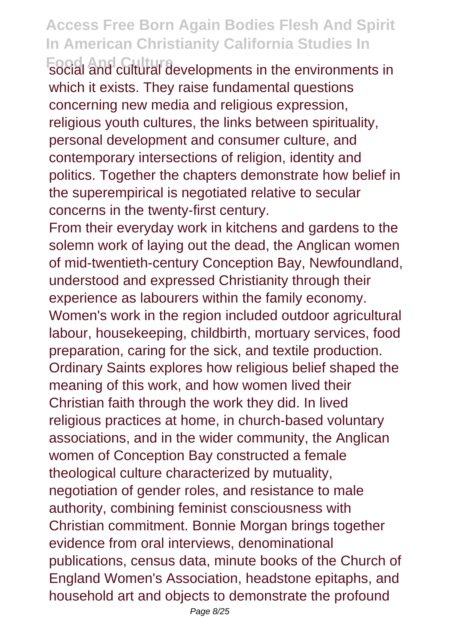**Food And Cultural developments in the environments in** which it exists. They raise fundamental questions concerning new media and religious expression, religious youth cultures, the links between spirituality, personal development and consumer culture, and contemporary intersections of religion, identity and politics. Together the chapters demonstrate how belief in the superempirical is negotiated relative to secular concerns in the twenty-first century.

From their everyday work in kitchens and gardens to the solemn work of laying out the dead, the Anglican women of mid-twentieth-century Conception Bay, Newfoundland, understood and expressed Christianity through their experience as labourers within the family economy. Women's work in the region included outdoor agricultural labour, housekeeping, childbirth, mortuary services, food preparation, caring for the sick, and textile production. Ordinary Saints explores how religious belief shaped the meaning of this work, and how women lived their Christian faith through the work they did. In lived religious practices at home, in church-based voluntary associations, and in the wider community, the Anglican women of Conception Bay constructed a female theological culture characterized by mutuality, negotiation of gender roles, and resistance to male authority, combining feminist consciousness with Christian commitment. Bonnie Morgan brings together evidence from oral interviews, denominational publications, census data, minute books of the Church of England Women's Association, headstone epitaphs, and household art and objects to demonstrate the profound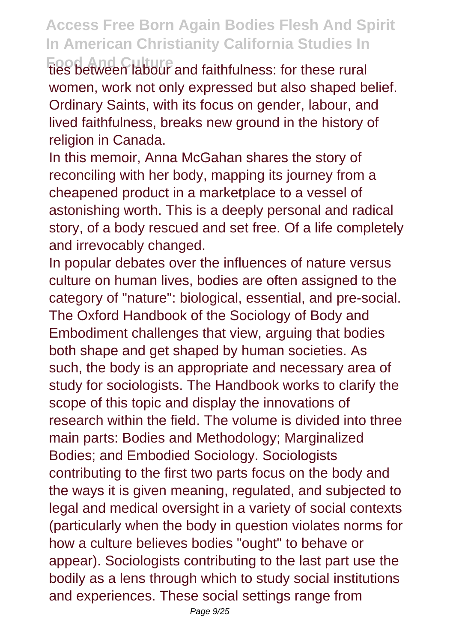**Fies between labour and faithfulness: for these rural** women, work not only expressed but also shaped belief. Ordinary Saints, with its focus on gender, labour, and lived faithfulness, breaks new ground in the history of religion in Canada.

In this memoir, Anna McGahan shares the story of reconciling with her body, mapping its journey from a cheapened product in a marketplace to a vessel of astonishing worth. This is a deeply personal and radical story, of a body rescued and set free. Of a life completely and irrevocably changed.

In popular debates over the influences of nature versus culture on human lives, bodies are often assigned to the category of "nature": biological, essential, and pre-social. The Oxford Handbook of the Sociology of Body and Embodiment challenges that view, arguing that bodies both shape and get shaped by human societies. As such, the body is an appropriate and necessary area of study for sociologists. The Handbook works to clarify the scope of this topic and display the innovations of research within the field. The volume is divided into three main parts: Bodies and Methodology; Marginalized Bodies; and Embodied Sociology. Sociologists contributing to the first two parts focus on the body and the ways it is given meaning, regulated, and subjected to legal and medical oversight in a variety of social contexts (particularly when the body in question violates norms for how a culture believes bodies "ought" to behave or appear). Sociologists contributing to the last part use the bodily as a lens through which to study social institutions and experiences. These social settings range from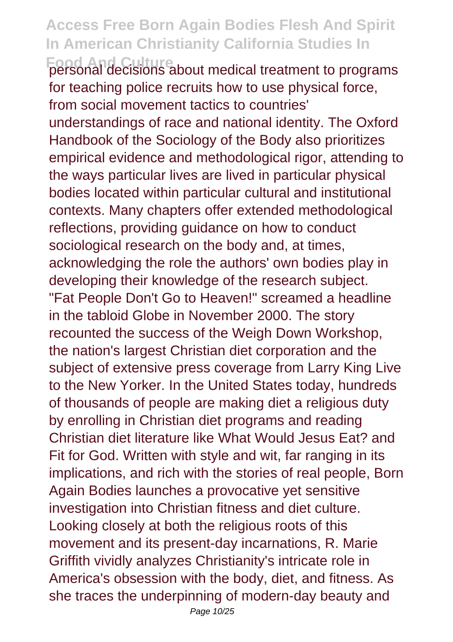**Food And Culture** personal decisions about medical treatment to programs for teaching police recruits how to use physical force, from social movement tactics to countries' understandings of race and national identity. The Oxford Handbook of the Sociology of the Body also prioritizes empirical evidence and methodological rigor, attending to the ways particular lives are lived in particular physical bodies located within particular cultural and institutional contexts. Many chapters offer extended methodological reflections, providing guidance on how to conduct sociological research on the body and, at times, acknowledging the role the authors' own bodies play in developing their knowledge of the research subject. "Fat People Don't Go to Heaven!" screamed a headline in the tabloid Globe in November 2000. The story recounted the success of the Weigh Down Workshop, the nation's largest Christian diet corporation and the subject of extensive press coverage from Larry King Live to the New Yorker. In the United States today, hundreds of thousands of people are making diet a religious duty by enrolling in Christian diet programs and reading Christian diet literature like What Would Jesus Eat? and Fit for God. Written with style and wit, far ranging in its implications, and rich with the stories of real people, Born Again Bodies launches a provocative yet sensitive investigation into Christian fitness and diet culture. Looking closely at both the religious roots of this movement and its present-day incarnations, R. Marie Griffith vividly analyzes Christianity's intricate role in America's obsession with the body, diet, and fitness. As she traces the underpinning of modern-day beauty and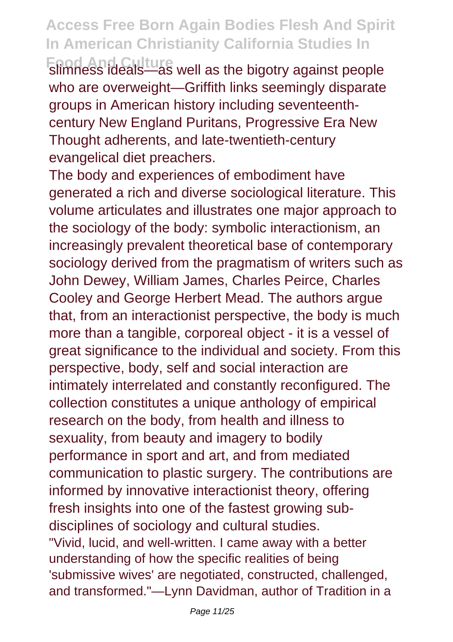**Food And Culture** slimness ideals—as well as the bigotry against people who are overweight—Griffith links seemingly disparate groups in American history including seventeenthcentury New England Puritans, Progressive Era New Thought adherents, and late-twentieth-century evangelical diet preachers.

The body and experiences of embodiment have generated a rich and diverse sociological literature. This volume articulates and illustrates one major approach to the sociology of the body: symbolic interactionism, an increasingly prevalent theoretical base of contemporary sociology derived from the pragmatism of writers such as John Dewey, William James, Charles Peirce, Charles Cooley and George Herbert Mead. The authors argue that, from an interactionist perspective, the body is much more than a tangible, corporeal object - it is a vessel of great significance to the individual and society. From this perspective, body, self and social interaction are intimately interrelated and constantly reconfigured. The collection constitutes a unique anthology of empirical research on the body, from health and illness to sexuality, from beauty and imagery to bodily performance in sport and art, and from mediated communication to plastic surgery. The contributions are informed by innovative interactionist theory, offering fresh insights into one of the fastest growing subdisciplines of sociology and cultural studies. "Vivid, lucid, and well-written. I came away with a better understanding of how the specific realities of being 'submissive wives' are negotiated, constructed, challenged, and transformed."—Lynn Davidman, author of Tradition in a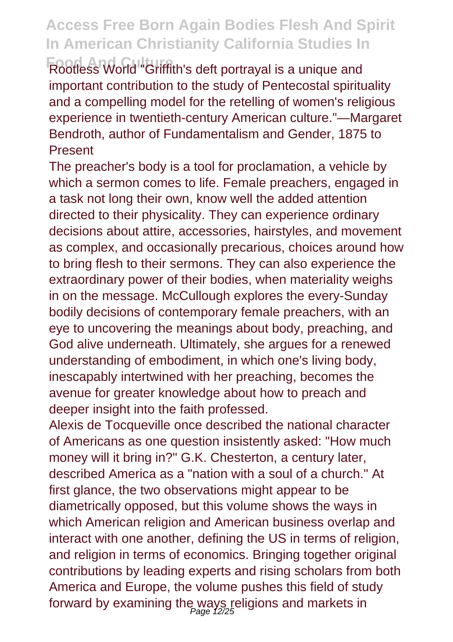**Footless World "Griffith's deft portrayal is a unique and** important contribution to the study of Pentecostal spirituality and a compelling model for the retelling of women's religious experience in twentieth-century American culture."—Margaret Bendroth, author of Fundamentalism and Gender, 1875 to Present

The preacher's body is a tool for proclamation, a vehicle by which a sermon comes to life. Female preachers, engaged in a task not long their own, know well the added attention directed to their physicality. They can experience ordinary decisions about attire, accessories, hairstyles, and movement as complex, and occasionally precarious, choices around how to bring flesh to their sermons. They can also experience the extraordinary power of their bodies, when materiality weighs in on the message. McCullough explores the every-Sunday bodily decisions of contemporary female preachers, with an eye to uncovering the meanings about body, preaching, and God alive underneath. Ultimately, she argues for a renewed understanding of embodiment, in which one's living body, inescapably intertwined with her preaching, becomes the avenue for greater knowledge about how to preach and deeper insight into the faith professed.

Alexis de Tocqueville once described the national character of Americans as one question insistently asked: "How much money will it bring in?" G.K. Chesterton, a century later, described America as a "nation with a soul of a church." At first glance, the two observations might appear to be diametrically opposed, but this volume shows the ways in which American religion and American business overlap and interact with one another, defining the US in terms of religion, and religion in terms of economics. Bringing together original contributions by leading experts and rising scholars from both America and Europe, the volume pushes this field of study forward by examining the ways religions and markets in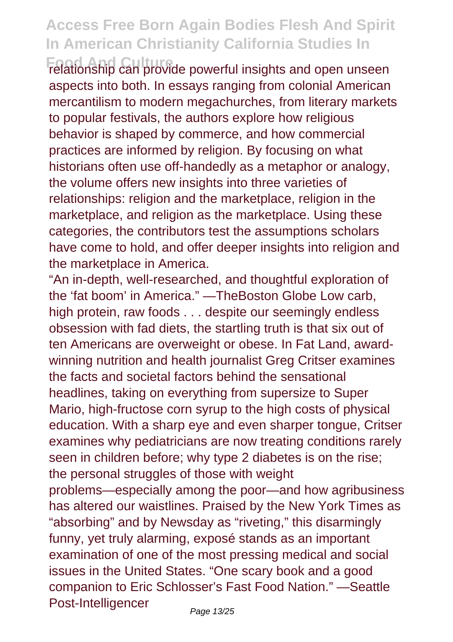**Food And Culture** relationship can provide powerful insights and open unseen aspects into both. In essays ranging from colonial American mercantilism to modern megachurches, from literary markets to popular festivals, the authors explore how religious behavior is shaped by commerce, and how commercial practices are informed by religion. By focusing on what historians often use off-handedly as a metaphor or analogy, the volume offers new insights into three varieties of relationships: religion and the marketplace, religion in the marketplace, and religion as the marketplace. Using these categories, the contributors test the assumptions scholars have come to hold, and offer deeper insights into religion and the marketplace in America.

"An in-depth, well-researched, and thoughtful exploration of the 'fat boom' in America." —TheBoston Globe Low carb, high protein, raw foods . . . despite our seemingly endless obsession with fad diets, the startling truth is that six out of ten Americans are overweight or obese. In Fat Land, awardwinning nutrition and health journalist Greg Critser examines the facts and societal factors behind the sensational headlines, taking on everything from supersize to Super Mario, high-fructose corn syrup to the high costs of physical education. With a sharp eye and even sharper tongue, Critser examines why pediatricians are now treating conditions rarely seen in children before; why type 2 diabetes is on the rise; the personal struggles of those with weight problems—especially among the poor—and how agribusiness has altered our waistlines. Praised by the New York Times as "absorbing" and by Newsday as "riveting," this disarmingly funny, yet truly alarming, exposé stands as an important examination of one of the most pressing medical and social issues in the United States. "One scary book and a good companion to Eric Schlosser's Fast Food Nation." —Seattle Post-Intelligencer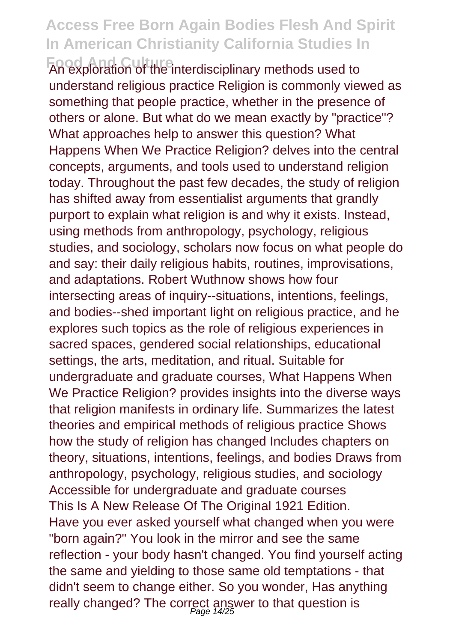**Food And Culture** interdisciplinary methods used to understand religious practice Religion is commonly viewed as something that people practice, whether in the presence of others or alone. But what do we mean exactly by "practice"? What approaches help to answer this question? What Happens When We Practice Religion? delves into the central concepts, arguments, and tools used to understand religion today. Throughout the past few decades, the study of religion has shifted away from essentialist arguments that grandly purport to explain what religion is and why it exists. Instead, using methods from anthropology, psychology, religious studies, and sociology, scholars now focus on what people do and say: their daily religious habits, routines, improvisations, and adaptations. Robert Wuthnow shows how four intersecting areas of inquiry--situations, intentions, feelings, and bodies--shed important light on religious practice, and he explores such topics as the role of religious experiences in sacred spaces, gendered social relationships, educational settings, the arts, meditation, and ritual. Suitable for undergraduate and graduate courses, What Happens When We Practice Religion? provides insights into the diverse ways that religion manifests in ordinary life. Summarizes the latest theories and empirical methods of religious practice Shows how the study of religion has changed Includes chapters on theory, situations, intentions, feelings, and bodies Draws from anthropology, psychology, religious studies, and sociology Accessible for undergraduate and graduate courses This Is A New Release Of The Original 1921 Edition. Have you ever asked yourself what changed when you were "born again?" You look in the mirror and see the same reflection - your body hasn't changed. You find yourself acting the same and yielding to those same old temptations - that didn't seem to change either. So you wonder, Has anything really changed? The correct answer to that question is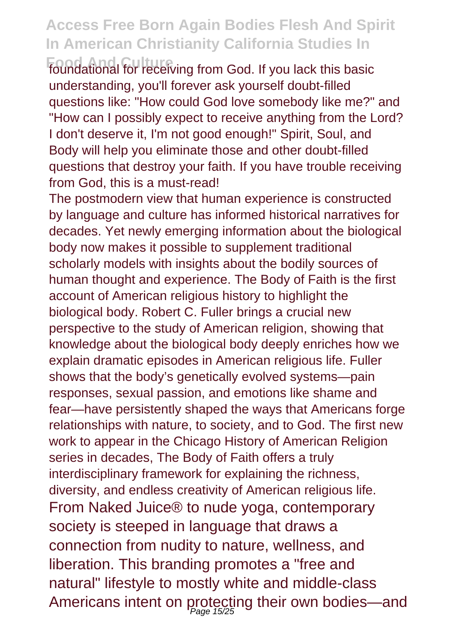**Food And Culture** foundational for receiving from God. If you lack this basic understanding, you'll forever ask yourself doubt-filled questions like: "How could God love somebody like me?" and "How can I possibly expect to receive anything from the Lord? I don't deserve it, I'm not good enough!" Spirit, Soul, and Body will help you eliminate those and other doubt-filled questions that destroy your faith. If you have trouble receiving from God, this is a must-read!

The postmodern view that human experience is constructed by language and culture has informed historical narratives for decades. Yet newly emerging information about the biological body now makes it possible to supplement traditional scholarly models with insights about the bodily sources of human thought and experience. The Body of Faith is the first account of American religious history to highlight the biological body. Robert C. Fuller brings a crucial new perspective to the study of American religion, showing that knowledge about the biological body deeply enriches how we explain dramatic episodes in American religious life. Fuller shows that the body's genetically evolved systems—pain responses, sexual passion, and emotions like shame and fear—have persistently shaped the ways that Americans forge relationships with nature, to society, and to God. The first new work to appear in the Chicago History of American Religion series in decades, The Body of Faith offers a truly interdisciplinary framework for explaining the richness, diversity, and endless creativity of American religious life. From Naked Juice® to nude yoga, contemporary society is steeped in language that draws a connection from nudity to nature, wellness, and liberation. This branding promotes a "free and natural" lifestyle to mostly white and middle-class Americans intent on protecting their own bodies—and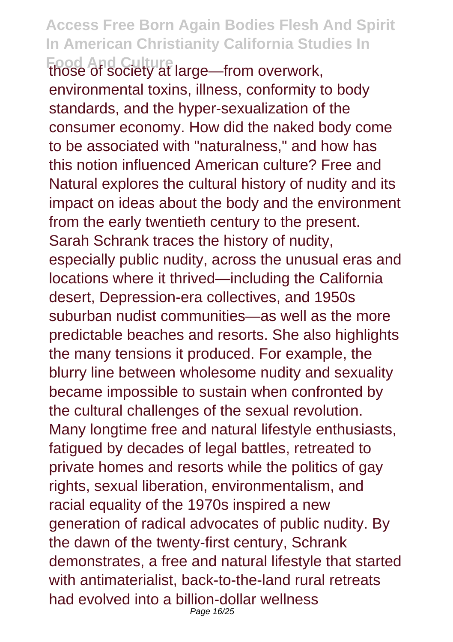#### **Access Free Born Again Bodies Flesh And Spirit In American Christianity California Studies In Food And Culture** those of society at large—from overwork,

environmental toxins, illness, conformity to body standards, and the hyper-sexualization of the consumer economy. How did the naked body come to be associated with "naturalness," and how has this notion influenced American culture? Free and Natural explores the cultural history of nudity and its impact on ideas about the body and the environment from the early twentieth century to the present. Sarah Schrank traces the history of nudity, especially public nudity, across the unusual eras and locations where it thrived—including the California desert, Depression-era collectives, and 1950s suburban nudist communities—as well as the more predictable beaches and resorts. She also highlights the many tensions it produced. For example, the blurry line between wholesome nudity and sexuality became impossible to sustain when confronted by the cultural challenges of the sexual revolution. Many longtime free and natural lifestyle enthusiasts, fatigued by decades of legal battles, retreated to private homes and resorts while the politics of gay rights, sexual liberation, environmentalism, and racial equality of the 1970s inspired a new generation of radical advocates of public nudity. By the dawn of the twenty-first century, Schrank demonstrates, a free and natural lifestyle that started with antimaterialist, back-to-the-land rural retreats had evolved into a billion-dollar wellness Page 16/25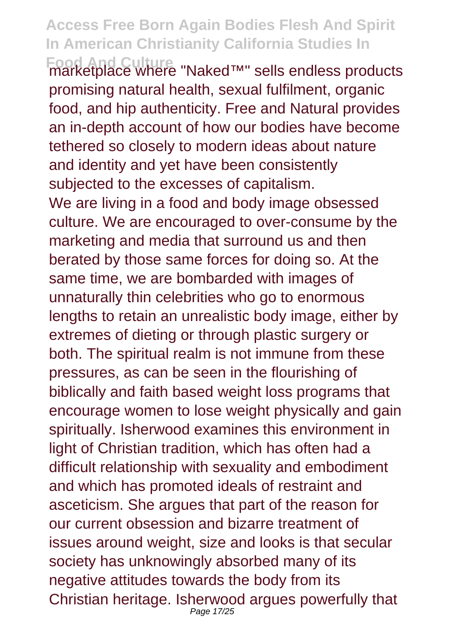**Food And Culture** marketplace where "Naked™" sells endless products promising natural health, sexual fulfilment, organic food, and hip authenticity. Free and Natural provides an in-depth account of how our bodies have become tethered so closely to modern ideas about nature and identity and yet have been consistently subjected to the excesses of capitalism. We are living in a food and body image obsessed culture. We are encouraged to over-consume by the marketing and media that surround us and then berated by those same forces for doing so. At the same time, we are bombarded with images of unnaturally thin celebrities who go to enormous lengths to retain an unrealistic body image, either by extremes of dieting or through plastic surgery or both. The spiritual realm is not immune from these pressures, as can be seen in the flourishing of biblically and faith based weight loss programs that encourage women to lose weight physically and gain spiritually. Isherwood examines this environment in light of Christian tradition, which has often had a difficult relationship with sexuality and embodiment and which has promoted ideals of restraint and asceticism. She argues that part of the reason for our current obsession and bizarre treatment of issues around weight, size and looks is that secular society has unknowingly absorbed many of its negative attitudes towards the body from its Christian heritage. Isherwood argues powerfully that Page 17/25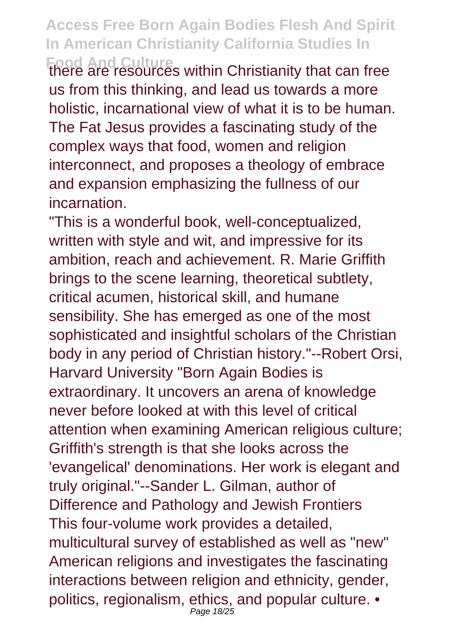**Food And Culture**<br>there are resources within Christianity that can free us from this thinking, and lead us towards a more holistic, incarnational view of what it is to be human. The Fat Jesus provides a fascinating study of the complex ways that food, women and religion interconnect, and proposes a theology of embrace and expansion emphasizing the fullness of our incarnation.

"This is a wonderful book, well-conceptualized, written with style and wit, and impressive for its ambition, reach and achievement. R. Marie Griffith brings to the scene learning, theoretical subtlety, critical acumen, historical skill, and humane sensibility. She has emerged as one of the most sophisticated and insightful scholars of the Christian body in any period of Christian history."--Robert Orsi, Harvard University "Born Again Bodies is extraordinary. It uncovers an arena of knowledge never before looked at with this level of critical attention when examining American religious culture; Griffith's strength is that she looks across the 'evangelical' denominations. Her work is elegant and truly original."--Sander L. Gilman, author of Difference and Pathology and Jewish Frontiers This four-volume work provides a detailed, multicultural survey of established as well as "new" American religions and investigates the fascinating interactions between religion and ethnicity, gender, politics, regionalism, ethics, and popular culture. • Page 18/25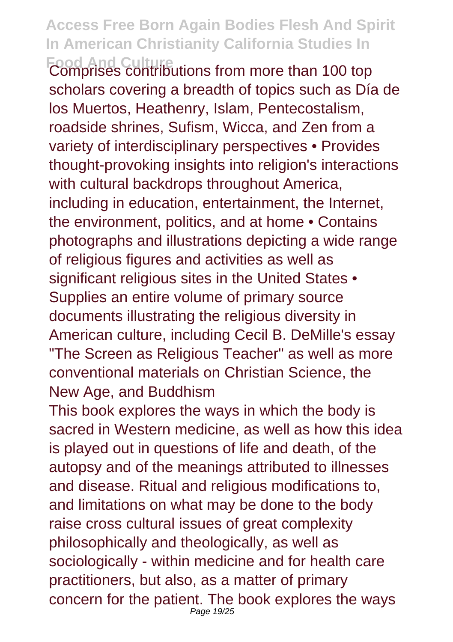**Food And Cuntributions from more than 100 top** scholars covering a breadth of topics such as Día de los Muertos, Heathenry, Islam, Pentecostalism, roadside shrines, Sufism, Wicca, and Zen from a variety of interdisciplinary perspectives • Provides thought-provoking insights into religion's interactions with cultural backdrops throughout America, including in education, entertainment, the Internet, the environment, politics, and at home • Contains photographs and illustrations depicting a wide range of religious figures and activities as well as significant religious sites in the United States • Supplies an entire volume of primary source documents illustrating the religious diversity in American culture, including Cecil B. DeMille's essay "The Screen as Religious Teacher" as well as more conventional materials on Christian Science, the New Age, and Buddhism

This book explores the ways in which the body is sacred in Western medicine, as well as how this idea is played out in questions of life and death, of the autopsy and of the meanings attributed to illnesses and disease. Ritual and religious modifications to, and limitations on what may be done to the body raise cross cultural issues of great complexity philosophically and theologically, as well as sociologically - within medicine and for health care practitioners, but also, as a matter of primary concern for the patient. The book explores the ways Page 19/25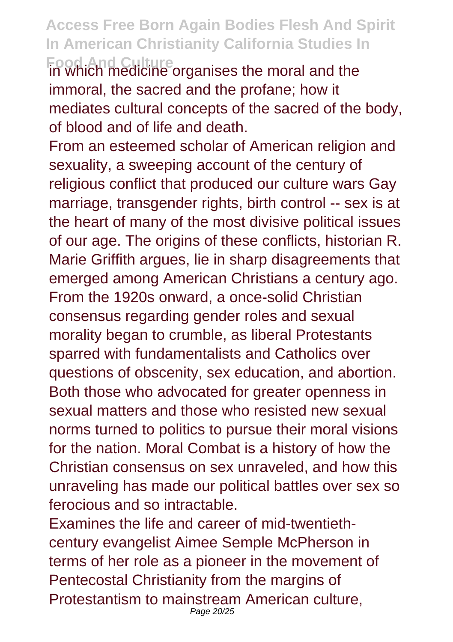**Food And Culture** in which medicine organises the moral and the immoral, the sacred and the profane; how it mediates cultural concepts of the sacred of the body, of blood and of life and death.

From an esteemed scholar of American religion and sexuality, a sweeping account of the century of religious conflict that produced our culture wars Gay marriage, transgender rights, birth control -- sex is at the heart of many of the most divisive political issues of our age. The origins of these conflicts, historian R. Marie Griffith argues, lie in sharp disagreements that emerged among American Christians a century ago. From the 1920s onward, a once-solid Christian consensus regarding gender roles and sexual morality began to crumble, as liberal Protestants sparred with fundamentalists and Catholics over questions of obscenity, sex education, and abortion. Both those who advocated for greater openness in sexual matters and those who resisted new sexual norms turned to politics to pursue their moral visions for the nation. Moral Combat is a history of how the Christian consensus on sex unraveled, and how this unraveling has made our political battles over sex so ferocious and so intractable.

Examines the life and career of mid-twentiethcentury evangelist Aimee Semple McPherson in terms of her role as a pioneer in the movement of Pentecostal Christianity from the margins of Protestantism to mainstream American culture, Page 20/25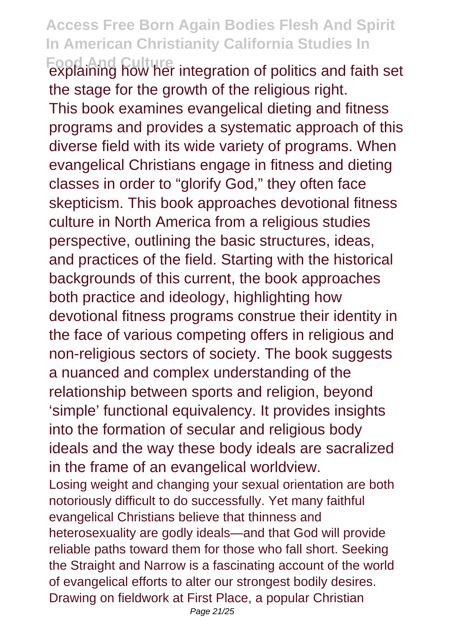**Food And Culture** integration of politics and faith set the stage for the growth of the religious right. This book examines evangelical dieting and fitness programs and provides a systematic approach of this diverse field with its wide variety of programs. When evangelical Christians engage in fitness and dieting classes in order to "glorify God," they often face skepticism. This book approaches devotional fitness culture in North America from a religious studies perspective, outlining the basic structures, ideas, and practices of the field. Starting with the historical backgrounds of this current, the book approaches both practice and ideology, highlighting how devotional fitness programs construe their identity in the face of various competing offers in religious and non-religious sectors of society. The book suggests a nuanced and complex understanding of the relationship between sports and religion, beyond 'simple' functional equivalency. It provides insights into the formation of secular and religious body ideals and the way these body ideals are sacralized in the frame of an evangelical worldview. Losing weight and changing your sexual orientation are both notoriously difficult to do successfully. Yet many faithful evangelical Christians believe that thinness and heterosexuality are godly ideals—and that God will provide reliable paths toward them for those who fall short. Seeking the Straight and Narrow is a fascinating account of the world of evangelical efforts to alter our strongest bodily desires. Drawing on fieldwork at First Place, a popular Christian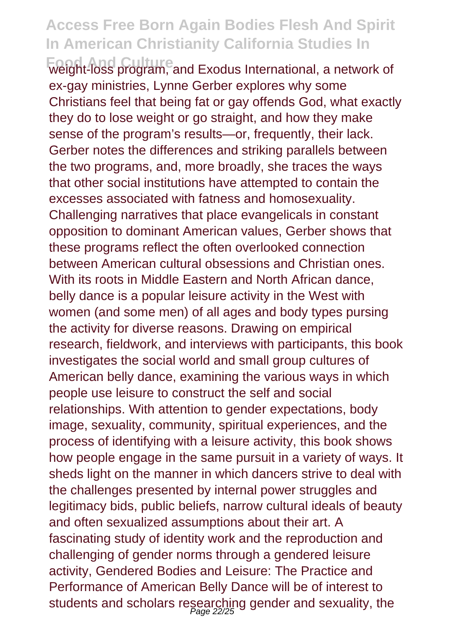**Food And Culture** weight-loss program, and Exodus International, a network of ex-gay ministries, Lynne Gerber explores why some Christians feel that being fat or gay offends God, what exactly they do to lose weight or go straight, and how they make sense of the program's results—or, frequently, their lack. Gerber notes the differences and striking parallels between the two programs, and, more broadly, she traces the ways that other social institutions have attempted to contain the excesses associated with fatness and homosexuality. Challenging narratives that place evangelicals in constant opposition to dominant American values, Gerber shows that these programs reflect the often overlooked connection between American cultural obsessions and Christian ones. With its roots in Middle Eastern and North African dance, belly dance is a popular leisure activity in the West with women (and some men) of all ages and body types pursing the activity for diverse reasons. Drawing on empirical research, fieldwork, and interviews with participants, this book investigates the social world and small group cultures of American belly dance, examining the various ways in which people use leisure to construct the self and social relationships. With attention to gender expectations, body image, sexuality, community, spiritual experiences, and the process of identifying with a leisure activity, this book shows how people engage in the same pursuit in a variety of ways. It sheds light on the manner in which dancers strive to deal with the challenges presented by internal power struggles and legitimacy bids, public beliefs, narrow cultural ideals of beauty and often sexualized assumptions about their art. A fascinating study of identity work and the reproduction and challenging of gender norms through a gendered leisure activity, Gendered Bodies and Leisure: The Practice and Performance of American Belly Dance will be of interest to students and scholars researching gender and sexuality, the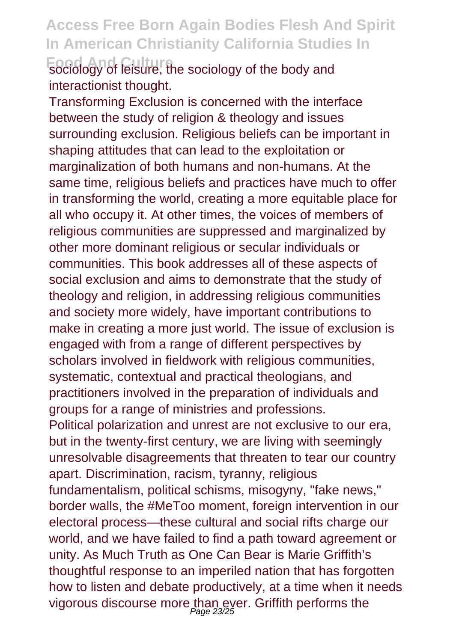**Foodoogy of leisure, the sociology of the body and** interactionist thought.

Transforming Exclusion is concerned with the interface between the study of religion & theology and issues surrounding exclusion. Religious beliefs can be important in shaping attitudes that can lead to the exploitation or marginalization of both humans and non-humans. At the same time, religious beliefs and practices have much to offer in transforming the world, creating a more equitable place for all who occupy it. At other times, the voices of members of religious communities are suppressed and marginalized by other more dominant religious or secular individuals or communities. This book addresses all of these aspects of social exclusion and aims to demonstrate that the study of theology and religion, in addressing religious communities and society more widely, have important contributions to make in creating a more just world. The issue of exclusion is engaged with from a range of different perspectives by scholars involved in fieldwork with religious communities, systematic, contextual and practical theologians, and practitioners involved in the preparation of individuals and groups for a range of ministries and professions. Political polarization and unrest are not exclusive to our era, but in the twenty-first century, we are living with seemingly unresolvable disagreements that threaten to tear our country apart. Discrimination, racism, tyranny, religious fundamentalism, political schisms, misogyny, "fake news," border walls, the #MeToo moment, foreign intervention in our electoral process—these cultural and social rifts charge our world, and we have failed to find a path toward agreement or unity. As Much Truth as One Can Bear is Marie Griffith's thoughtful response to an imperiled nation that has forgotten how to listen and debate productively, at a time when it needs vigorous discourse more than ever. Griffith performs the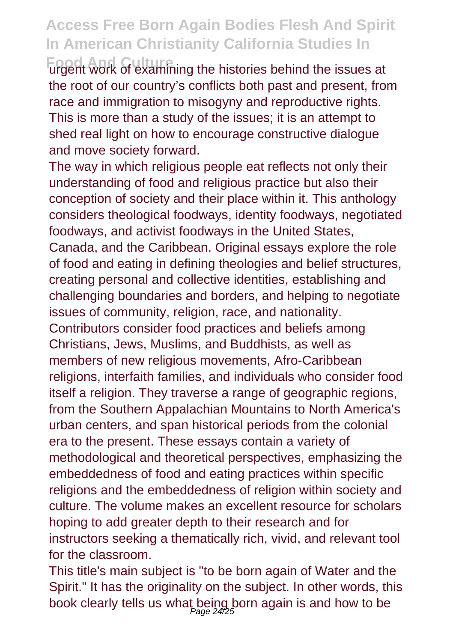**Food And Culture Culture in the histories behind the issues at** the root of our country's conflicts both past and present, from race and immigration to misogyny and reproductive rights. This is more than a study of the issues; it is an attempt to shed real light on how to encourage constructive dialogue and move society forward.

The way in which religious people eat reflects not only their understanding of food and religious practice but also their conception of society and their place within it. This anthology considers theological foodways, identity foodways, negotiated foodways, and activist foodways in the United States, Canada, and the Caribbean. Original essays explore the role of food and eating in defining theologies and belief structures, creating personal and collective identities, establishing and challenging boundaries and borders, and helping to negotiate issues of community, religion, race, and nationality. Contributors consider food practices and beliefs among Christians, Jews, Muslims, and Buddhists, as well as members of new religious movements, Afro-Caribbean religions, interfaith families, and individuals who consider food itself a religion. They traverse a range of geographic regions, from the Southern Appalachian Mountains to North America's urban centers, and span historical periods from the colonial era to the present. These essays contain a variety of methodological and theoretical perspectives, emphasizing the embeddedness of food and eating practices within specific religions and the embeddedness of religion within society and culture. The volume makes an excellent resource for scholars hoping to add greater depth to their research and for instructors seeking a thematically rich, vivid, and relevant tool for the classroom.

This title's main subject is "to be born again of Water and the Spirit." It has the originality on the subject. In other words, this book clearly tells us what being born again is and how to be